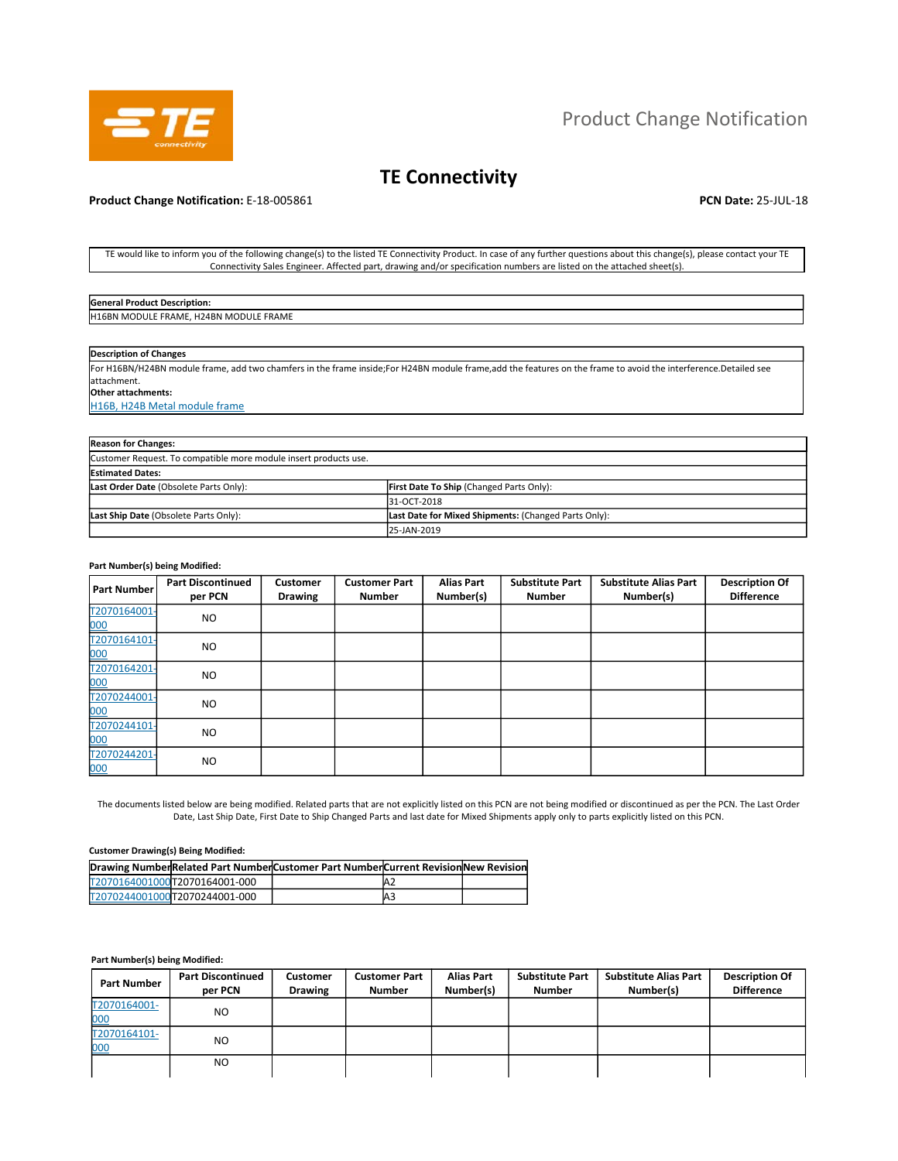

# Product Change Notification

# **TE Connectivity**

## **Product Change Notification:** E-18-005861 **PCN Date: 25-JUL-18 PCN Date: 25-JUL-18**

TE would like to inform you of the following change(s) to the listed TE Connectivity Product. In case of any further questions about this change(s), please contact your TE Connectivity Sales Engineer. Affected part, drawing and/or specification numbers are listed on the attached sheet(s).

| General<br>cription:<br><b>DACC</b><br>rodur"                                |  |
|------------------------------------------------------------------------------|--|
| <b>EFRAME</b><br>H2AP<br>ווור<br><b>H16RN</b><br><b>FRAME</b><br>IVIL.<br>лн |  |
|                                                                              |  |

## **Description of Changes**

For H16BN/H24BN module frame, add two chamfers in the frame inside;For H24BN module frame,add the features on the frame to avoid the interference.Detailed see attachment.

**Other attachments:** 

H16B, H24B Metal module frame

| <b>Reason for Changes:</b>                                       |                                                      |  |  |  |  |
|------------------------------------------------------------------|------------------------------------------------------|--|--|--|--|
| Customer Request. To compatible more module insert products use. |                                                      |  |  |  |  |
| <b>Estimated Dates:</b>                                          |                                                      |  |  |  |  |
| Last Order Date (Obsolete Parts Only):                           | First Date To Ship (Changed Parts Only):             |  |  |  |  |
|                                                                  | 31-OCT-2018                                          |  |  |  |  |
| Last Ship Date (Obsolete Parts Only):                            | Last Date for Mixed Shipments: (Changed Parts Only): |  |  |  |  |
|                                                                  | 25-JAN-2019                                          |  |  |  |  |

#### **Part Number(s) being Modified:**

| Part Number         | <b>Part Discontinued</b><br>per PCN | <b>Customer</b><br><b>Drawing</b> | <b>Customer Part</b><br><b>Number</b> | <b>Alias Part</b><br>Number(s) | <b>Substitute Part</b><br><b>Number</b> | <b>Substitute Alias Part</b><br>Number(s) | <b>Description Of</b><br><b>Difference</b> |
|---------------------|-------------------------------------|-----------------------------------|---------------------------------------|--------------------------------|-----------------------------------------|-------------------------------------------|--------------------------------------------|
| T2070164001-<br>000 | <b>NO</b>                           |                                   |                                       |                                |                                         |                                           |                                            |
| T2070164101-<br>000 | <b>NO</b>                           |                                   |                                       |                                |                                         |                                           |                                            |
| T2070164201-<br>000 | <b>NO</b>                           |                                   |                                       |                                |                                         |                                           |                                            |
| T2070244001-<br>000 | <b>NO</b>                           |                                   |                                       |                                |                                         |                                           |                                            |
| T2070244101-<br>000 | <b>NO</b>                           |                                   |                                       |                                |                                         |                                           |                                            |
| T2070244201-<br>000 | NO.                                 |                                   |                                       |                                |                                         |                                           |                                            |

The documents listed below are being modified. Related parts that are not explicitly listed on this PCN are not being modified or discontinued as per the PCN. The Last Order Date, Last Ship Date, First Date to Ship Changed Parts and last date for Mixed Shipments apply only to parts explicitly listed on this PCN.

#### **Customer Drawing(s) Being Modified:**

|                               | Drawing NumberRelated Part NumberCustomer Part NumberCurrent Revision New Revision |                |  |
|-------------------------------|------------------------------------------------------------------------------------|----------------|--|
| T2070164001000T2070164001-000 |                                                                                    | A <sub>2</sub> |  |
| T2070244001000T2070244001-000 |                                                                                    | AЗ             |  |

#### **Part Number(s) being Modified:**

| <b>Part Number</b>  | <b>Part Discontinued</b><br>per PCN | <b>Customer</b><br><b>Drawing</b> | <b>Customer Part</b><br><b>Number</b> | <b>Alias Part</b><br>Number(s) | <b>Substitute Part</b><br><b>Number</b> | <b>Substitute Alias Part</b><br>Number(s) | <b>Description Of</b><br><b>Difference</b> |
|---------------------|-------------------------------------|-----------------------------------|---------------------------------------|--------------------------------|-----------------------------------------|-------------------------------------------|--------------------------------------------|
| T2070164001-<br>000 | NO.                                 |                                   |                                       |                                |                                         |                                           |                                            |
| T2070164101-<br>000 | NO.                                 |                                   |                                       |                                |                                         |                                           |                                            |
|                     | NO.                                 |                                   |                                       |                                |                                         |                                           |                                            |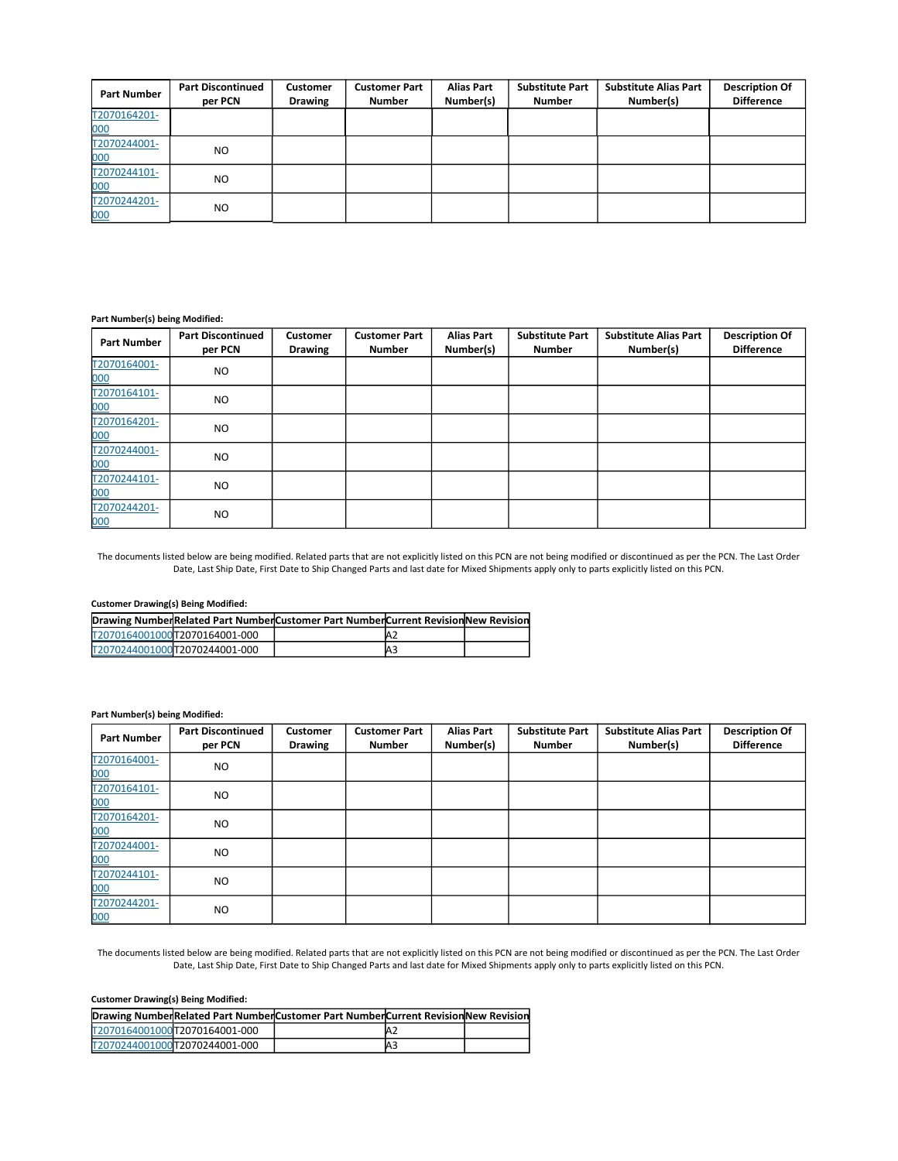| <b>Part Number</b>  | <b>Part Discontinued</b><br>per PCN | <b>Customer</b><br><b>Drawing</b> | <b>Customer Part</b><br><b>Number</b> | <b>Alias Part</b><br>Number(s) | <b>Substitute Part</b><br><b>Number</b> | <b>Substitute Alias Part</b><br>Number(s) | <b>Description Of</b><br><b>Difference</b> |
|---------------------|-------------------------------------|-----------------------------------|---------------------------------------|--------------------------------|-----------------------------------------|-------------------------------------------|--------------------------------------------|
| T2070164201-<br>000 |                                     |                                   |                                       |                                |                                         |                                           |                                            |
| T2070244001-<br>000 | NO.                                 |                                   |                                       |                                |                                         |                                           |                                            |
| T2070244101-<br>000 | NO.                                 |                                   |                                       |                                |                                         |                                           |                                            |
| T2070244201-<br>000 | NO.                                 |                                   |                                       |                                |                                         |                                           |                                            |

#### **Part Number(s) being Modified:**

| <b>Part Number</b>  | <b>Part Discontinued</b><br>per PCN | <b>Customer</b><br><b>Drawing</b> | <b>Customer Part</b><br><b>Number</b> | <b>Alias Part</b><br>Number(s) | <b>Substitute Part</b><br><b>Number</b> | <b>Substitute Alias Part</b><br>Number(s) | <b>Description Of</b><br><b>Difference</b> |
|---------------------|-------------------------------------|-----------------------------------|---------------------------------------|--------------------------------|-----------------------------------------|-------------------------------------------|--------------------------------------------|
| T2070164001-<br>000 | <b>NO</b>                           |                                   |                                       |                                |                                         |                                           |                                            |
| T2070164101-<br>000 | <b>NO</b>                           |                                   |                                       |                                |                                         |                                           |                                            |
| T2070164201-<br>000 | <b>NO</b>                           |                                   |                                       |                                |                                         |                                           |                                            |
| T2070244001-<br>000 | <b>NO</b>                           |                                   |                                       |                                |                                         |                                           |                                            |
| T2070244101-<br>000 | <b>NO</b>                           |                                   |                                       |                                |                                         |                                           |                                            |
| T2070244201-<br>000 | <b>NO</b>                           |                                   |                                       |                                |                                         |                                           |                                            |

The documents listed below are being modified. Related parts that are not explicitly listed on this PCN are not being modified or discontinued as per the PCN. The Last Order Date, Last Ship Date, First Date to Ship Changed Parts and last date for Mixed Shipments apply only to parts explicitly listed on this PCN.

## **Customer Drawing(s) Being Modified:**

|  |                               | Drawing NumberRelated Part NumberCustomer Part NumberCurrent Revision New Revision |    |  |
|--|-------------------------------|------------------------------------------------------------------------------------|----|--|
|  | T2070164001000T2070164001-000 |                                                                                    | Az |  |
|  | T2070244001000T2070244001-000 |                                                                                    | A3 |  |

## **Part Number(s) being Modified:**

| <b>Part Number</b>  | <b>Part Discontinued</b><br>per PCN | <b>Customer</b><br><b>Drawing</b> | <b>Customer Part</b><br><b>Number</b> | <b>Alias Part</b><br>Number(s) | <b>Substitute Part</b><br><b>Number</b> | <b>Substitute Alias Part</b><br>Number(s) | <b>Description Of</b><br><b>Difference</b> |
|---------------------|-------------------------------------|-----------------------------------|---------------------------------------|--------------------------------|-----------------------------------------|-------------------------------------------|--------------------------------------------|
| T2070164001-<br>000 | <b>NO</b>                           |                                   |                                       |                                |                                         |                                           |                                            |
| T2070164101-<br>000 | <b>NO</b>                           |                                   |                                       |                                |                                         |                                           |                                            |
| T2070164201-<br>000 | <b>NO</b>                           |                                   |                                       |                                |                                         |                                           |                                            |
| T2070244001-<br>000 | <b>NO</b>                           |                                   |                                       |                                |                                         |                                           |                                            |
| T2070244101-<br>000 | <b>NO</b>                           |                                   |                                       |                                |                                         |                                           |                                            |
| T2070244201-<br>000 | <b>NO</b>                           |                                   |                                       |                                |                                         |                                           |                                            |

The documents listed below are being modified. Related parts that are not explicitly listed on this PCN are not being modified or discontinued as per the PCN. The Last Order Date, Last Ship Date, First Date to Ship Changed Parts and last date for Mixed Shipments apply only to parts explicitly listed on this PCN.

## **Customer Drawing(s) Being Modified:**

|  |                               | Drawing NumberRelated Part NumberCustomer Part NumberCurrent Revision New Revision |                |  |
|--|-------------------------------|------------------------------------------------------------------------------------|----------------|--|
|  | T2070164001000T2070164001-000 |                                                                                    | – A∠           |  |
|  | T2070244001000T2070244001-000 |                                                                                    | A <sub>3</sub> |  |